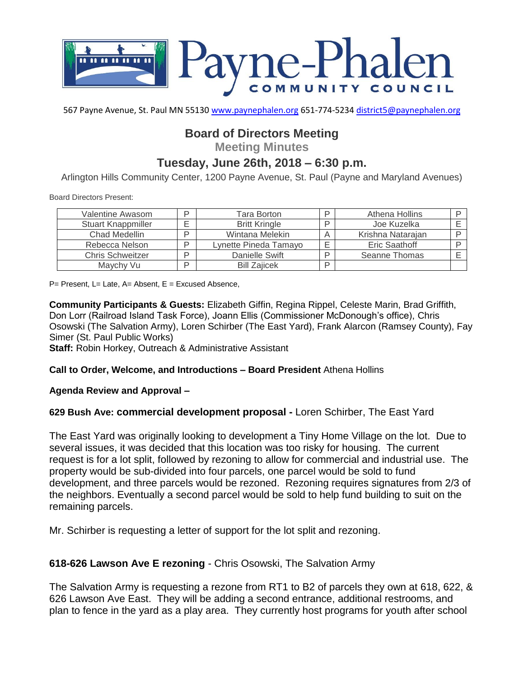

567 Payne Avenue, St. Paul MN 55130 [www.paynephalen.org](http://www.paynephalen.org/) 651-774-5234 [district5@paynephalen.org](mailto:district5@paynephalen.org)

# **Board of Directors Meeting**

**Meeting Minutes**

# **Tuesday, June 26th, 2018 – 6:30 p.m.**

Arlington Hills Community Center, 1200 Payne Avenue, St. Paul (Payne and Maryland Avenues)

Board Directors Present:

| Valentine Awasom        | D | Tara Borton           | ם | Athena Hollins    |  |
|-------------------------|---|-----------------------|---|-------------------|--|
| Stuart Knappmiller      |   | <b>Britt Kringle</b>  | ם | Joe Kuzelka       |  |
| Chad Medellin           | D | Wintana Melekin       |   | Krishna Natarajan |  |
| Rebecca Nelson          | D | Lynette Pineda Tamayo | E | Eric Saathoff     |  |
| <b>Chris Schweitzer</b> | D | Danielle Swift        | ח | Seanne Thomas     |  |
| Maychy Vu               | D | <b>Bill Zaiicek</b>   | D |                   |  |

P= Present, L= Late, A= Absent, E = Excused Absence,

**Community Participants & Guests:** Elizabeth Giffin, Regina Rippel, Celeste Marin, Brad Griffith, Don Lorr (Railroad Island Task Force), Joann Ellis (Commissioner McDonough's office), Chris Osowski (The Salvation Army), Loren Schirber (The East Yard), Frank Alarcon (Ramsey County), Fay Simer (St. Paul Public Works)

**Staff:** Robin Horkey, Outreach & Administrative Assistant

### **Call to Order, Welcome, and Introductions – Board President** Athena Hollins

### **Agenda Review and Approval –**

### **629 Bush Ave: commercial development proposal -** Loren Schirber, The East Yard

The East Yard was originally looking to development a Tiny Home Village on the lot. Due to several issues, it was decided that this location was too risky for housing. The current request is for a lot split, followed by rezoning to allow for commercial and industrial use. The property would be sub-divided into four parcels, one parcel would be sold to fund development, and three parcels would be rezoned. Rezoning requires signatures from 2/3 of the neighbors. Eventually a second parcel would be sold to help fund building to suit on the remaining parcels.

Mr. Schirber is requesting a letter of support for the lot split and rezoning.

### **618-626 Lawson Ave E rezoning** - Chris Osowski, The Salvation Army

The Salvation Army is requesting a rezone from RT1 to B2 of parcels they own at 618, 622, & 626 Lawson Ave East. They will be adding a second entrance, additional restrooms, and plan to fence in the yard as a play area. They currently host programs for youth after school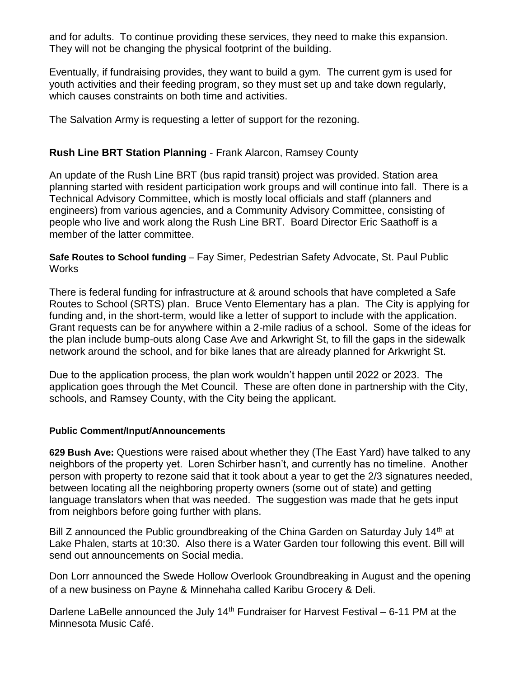and for adults. To continue providing these services, they need to make this expansion. They will not be changing the physical footprint of the building.

Eventually, if fundraising provides, they want to build a gym. The current gym is used for youth activities and their feeding program, so they must set up and take down regularly, which causes constraints on both time and activities.

The Salvation Army is requesting a letter of support for the rezoning.

## **Rush Line BRT Station Planning** - Frank Alarcon, Ramsey County

An update of the Rush Line BRT (bus rapid transit) project was provided. Station area planning started with resident participation work groups and will continue into fall. There is a Technical Advisory Committee, which is mostly local officials and staff (planners and engineers) from various agencies, and a Community Advisory Committee, consisting of people who live and work along the Rush Line BRT. Board Director Eric Saathoff is a member of the latter committee.

**Safe Routes to School funding** – Fay Simer, Pedestrian Safety Advocate, St. Paul Public **Works** 

There is federal funding for infrastructure at & around schools that have completed a Safe Routes to School (SRTS) plan. Bruce Vento Elementary has a plan. The City is applying for funding and, in the short-term, would like a letter of support to include with the application. Grant requests can be for anywhere within a 2-mile radius of a school. Some of the ideas for the plan include bump-outs along Case Ave and Arkwright St, to fill the gaps in the sidewalk network around the school, and for bike lanes that are already planned for Arkwright St.

Due to the application process, the plan work wouldn't happen until 2022 or 2023. The application goes through the Met Council. These are often done in partnership with the City, schools, and Ramsey County, with the City being the applicant.

## **Public Comment/Input/Announcements**

**629 Bush Ave:** Questions were raised about whether they (The East Yard) have talked to any neighbors of the property yet. Loren Schirber hasn't, and currently has no timeline. Another person with property to rezone said that it took about a year to get the 2/3 signatures needed, between locating all the neighboring property owners (some out of state) and getting language translators when that was needed. The suggestion was made that he gets input from neighbors before going further with plans.

Bill Z announced the Public groundbreaking of the China Garden on Saturday July 14<sup>th</sup> at Lake Phalen, starts at 10:30. Also there is a Water Garden tour following this event. Bill will send out announcements on Social media.

Don Lorr announced the Swede Hollow Overlook Groundbreaking in August and the opening of a new business on Payne & Minnehaha called Karibu Grocery & Deli.

Darlene LaBelle announced the July 14<sup>th</sup> Fundraiser for Harvest Festival  $-6-11$  PM at the Minnesota Music Café.